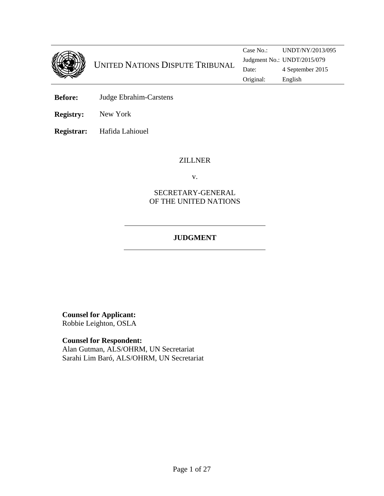

- **Before:** Judge Ebrahim-Carstens
- **Registry:** New York

**Registrar:** Hafida Lahiouel

#### ZILLNER

v.

### SECRETARY-GENERAL OF THE UNITED NATIONS

# **JUDGMENT**

**Counsel for Applicant:**  Robbie Leighton, OSLA

**Counsel for Respondent:** Alan Gutman, ALS/OHRM, UN Secretariat Sarahi Lim Baró, ALS/OHRM, UN Secretariat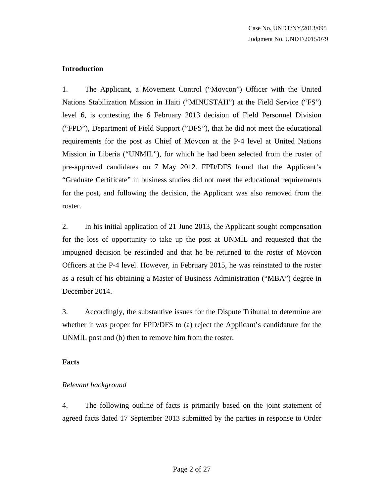## **Introduction**

1. The Applicant, a Movement Control ("Movcon") Officer with the United Nations Stabilization Mission in Haiti ("MINUSTAH") at the Field Service ("FS") level 6, is contesting the 6 February 2013 decision of Field Personnel Division ("FPD"), Department of Field Support ("DFS"), that he did not meet the educational requirements for the post as Chief of Movcon at the P-4 level at United Nations Mission in Liberia ("UNMIL"), for which he had been selected from the roster of pre-approved candidates on 7 May 2012. FPD/DFS found that the Applicant's "Graduate Certificate" in business studies did not meet the educational requirements for the post, and following the decision, the Applicant was also removed from the roster.

2. In his initial application of 21 June 2013, the Applicant sought compensation for the loss of opportunity to take up the post at UNMIL and requested that the impugned decision be rescinded and that he be returned to the roster of Movcon Officers at the P-4 level. However, in February 2015, he was reinstated to the roster as a result of his obtaining a Master of Business Administration ("MBA") degree in December 2014.

3. Accordingly, the substantive issues for the Dispute Tribunal to determine are whether it was proper for FPD/DFS to (a) reject the Applicant's candidature for the UNMIL post and (b) then to remove him from the roster.

### **Facts**

# *Relevant background*

4. The following outline of facts is primarily based on the joint statement of agreed facts dated 17 September 2013 submitted by the parties in response to Order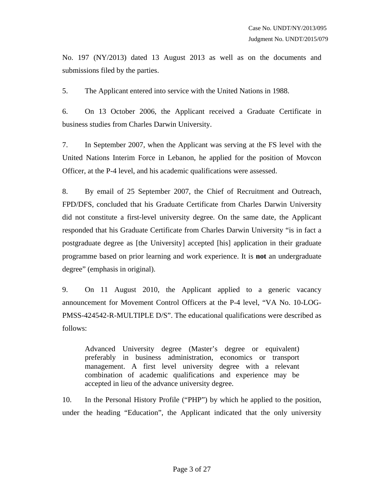No. 197 (NY/2013) dated 13 August 2013 as well as on the documents and submissions filed by the parties.

5. The Applicant entered into service with the United Nations in 1988.

6. On 13 October 2006, the Applicant received a Graduate Certificate in business studies from Charles Darwin University.

7. In September 2007, when the Applicant was serving at the FS level with the United Nations Interim Force in Lebanon, he applied for the position of Movcon Officer, at the P-4 level, and his academic qualifications were assessed.

8. By email of 25 September 2007, the Chief of Recruitment and Outreach, FPD/DFS, concluded that his Graduate Certificate from Charles Darwin University did not constitute a first-level university degree. On the same date, the Applicant responded that his Graduate Certificate from Charles Darwin University "is in fact a postgraduate degree as [the University] accepted [his] application in their graduate programme based on prior learning and work experience. It is **not** an undergraduate degree" (emphasis in original).

9. On 11 August 2010, the Applicant applied to a generic vacancy announcement for Movement Control Officers at the P-4 level, "VA No. 10-LOG-PMSS-424542-R-MULTIPLE D/S". The educational qualifications were described as follows:

Advanced University degree (Master's degree or equivalent) preferably in business administration, economics or transport management. A first level university degree with a relevant combination of academic qualifications and experience may be accepted in lieu of the advance university degree.

10. In the Personal History Profile ("PHP") by which he applied to the position, under the heading "Education", the Applicant indicated that the only university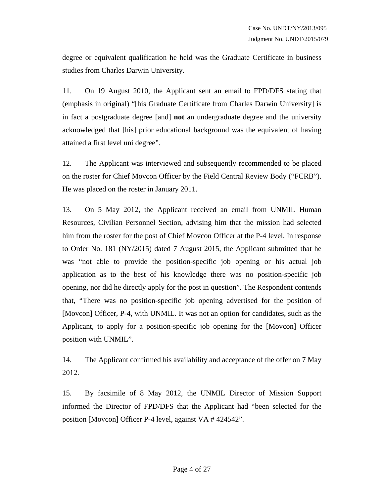degree or equivalent qualification he held was the Graduate Certificate in business studies from Charles Darwin University.

11. On 19 August 2010, the Applicant sent an email to FPD/DFS stating that (emphasis in original) "[his Graduate Certificate from Charles Darwin University] is in fact a postgraduate degree [and] **not** an undergraduate degree and the university acknowledged that [his] prior educational background was the equivalent of having attained a first level uni degree".

12. The Applicant was interviewed and subsequently recommended to be placed on the roster for Chief Movcon Officer by the Field Central Review Body ("FCRB"). He was placed on the roster in January 2011.

13. On 5 May 2012, the Applicant received an email from UNMIL Human Resources, Civilian Personnel Section, advising him that the mission had selected him from the roster for the post of Chief Movcon Officer at the P-4 level. In response to Order No. 181 (NY/2015) dated 7 August 2015, the Applicant submitted that he was "not able to provide the position-specific job opening or his actual job application as to the best of his knowledge there was no position-specific job opening, nor did he directly apply for the post in question". The Respondent contends that, "There was no position-specific job opening advertised for the position of [Movcon] Officer, P-4, with UNMIL. It was not an option for candidates, such as the Applicant, to apply for a position-specific job opening for the [Movcon] Officer position with UNMIL".

14. The Applicant confirmed his availability and acceptance of the offer on 7 May 2012.

15. By facsimile of 8 May 2012, the UNMIL Director of Mission Support informed the Director of FPD/DFS that the Applicant had "been selected for the position [Movcon] Officer P-4 level, against VA # 424542".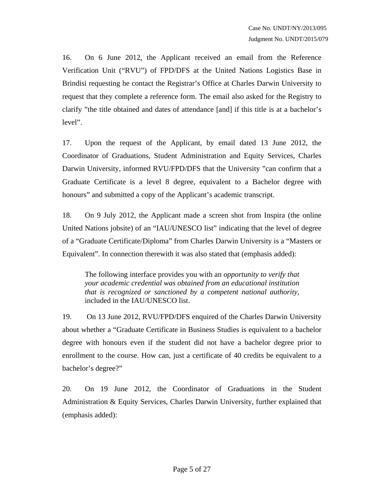16. On 6 June 2012, the Applicant received an email from the Reference Verification Unit ("RVU") of FPD/DFS at the United Nations Logistics Base in Brindisi requesting he contact the Registrar's Office at Charles Darwin University to request that they complete a reference form. The email also asked for the Registry to clarify "the title obtained and dates of attendance [and] if this title is at a bachelor's level".

17. Upon the request of the Applicant, by email dated 13 June 2012, the Coordinator of Graduations, Student Administration and Equity Services, Charles Darwin University, informed RVU/FPD/DFS that the University "can confirm that a Graduate Certificate is a level 8 degree, equivalent to a Bachelor degree with honours" and submitted a copy of the Applicant's academic transcript.

18. On 9 July 2012, the Applicant made a screen shot from Inspira (the online United Nations jobsite) of an "IAU/UNESCO list" indicating that the level of degree of a "Graduate Certificate/Diploma" from Charles Darwin University is a "Masters or Equivalent". In connection therewith it was also stated that (emphasis added):

The following interface provides you with an *opportunity to verify that your academic credential was obtained from an educational institution that is recognized or sanctioned by a competent national authority*, included in the IAU/UNESCO list.

19. On 13 June 2012, RVU/FPD/DFS enquired of the Charles Darwin University about whether a "Graduate Certificate in Business Studies is equivalent to a bachelor degree with honours even if the student did not have a bachelor degree prior to enrollment to the course. How can, just a certificate of 40 credits be equivalent to a bachelor's degree?"

20. On 19 June 2012, the Coordinator of Graduations in the Student Administration & Equity Services, Charles Darwin University, further explained that (emphasis added):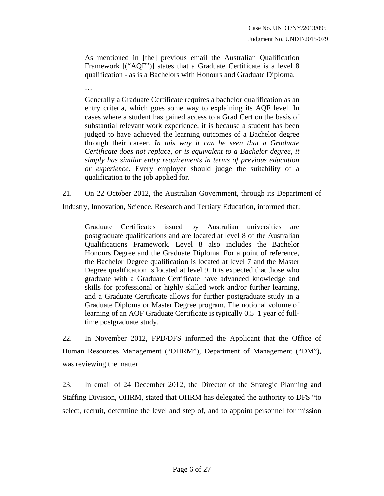As mentioned in [the] previous email the Australian Qualification Framework [("AQF")] states that a Graduate Certificate is a level 8 qualification - as is a Bachelors with Honours and Graduate Diploma.

…

Generally a Graduate Certificate requires a bachelor qualification as an entry criteria, which goes some way to explaining its AQF level. In cases where a student has gained access to a Grad Cert on the basis of substantial relevant work experience, it is because a student has been judged to have achieved the learning outcomes of a Bachelor degree through their career. *In this way it can be seen that a Graduate Certificate does not replace, or is equivalent to a Bachelor degree, it simply has similar entry requirements in terms of previous education or experience.* Every employer should judge the suitability of a qualification to the job applied for.

21. On 22 October 2012, the Australian Government, through its Department of

Industry, Innovation, Science, Research and Tertiary Education, informed that:

Graduate Certificates issued by Australian universities are postgraduate qualifications and are located at level 8 of the Australian Qualifications Framework. Level 8 also includes the Bachelor Honours Degree and the Graduate Diploma. For a point of reference, the Bachelor Degree qualification is located at level 7 and the Master Degree qualification is located at level 9. It is expected that those who graduate with a Graduate Certificate have advanced knowledge and skills for professional or highly skilled work and/or further learning, and a Graduate Certificate allows for further postgraduate study in a Graduate Diploma or Master Degree program. The notional volume of learning of an AOF Graduate Certificate is typically 0.5–1 year of fulltime postgraduate study.

22. In November 2012, FPD/DFS informed the Applicant that the Office of Human Resources Management ("OHRM"), Department of Management ("DM"), was reviewing the matter.

23. In email of 24 December 2012, the Director of the Strategic Planning and Staffing Division, OHRM, stated that OHRM has delegated the authority to DFS "to select, recruit, determine the level and step of, and to appoint personnel for mission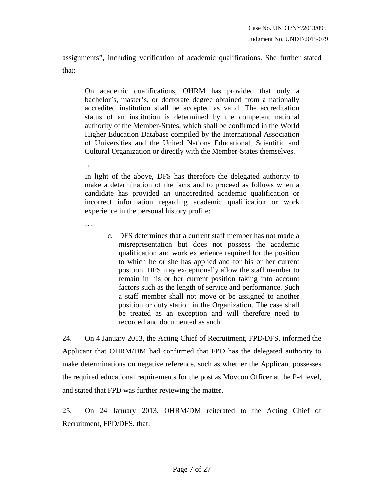assignments", including verification of academic qualifications. She further stated that:

On academic qualifications, OHRM has provided that only a bachelor's, master's, or doctorate degree obtained from a nationally accredited institution shall be accepted as valid. The accreditation status of an institution is determined by the competent national authority of the Member-States, which shall be confirmed in the World Higher Education Database compiled by the International Association of Universities and the United Nations Educational, Scientific and Cultural Organization or directly with the Member-States themselves.

In light of the above, DFS has therefore the delegated authority to make a determination of the facts and to proceed as follows when a candidate has provided an unaccredited academic qualification or incorrect information regarding academic qualification or work experience in the personal history profile:

…

…

c. DFS determines that a current staff member has not made a misrepresentation but does not possess the academic qualification and work experience required for the position to which he or she has applied and for his or her current position. DFS may exceptionally allow the staff member to remain in his or her current position taking into account factors such as the length of service and performance. Such a staff member shall not move or be assigned to another position or duty station in the Organization. The case shall be treated as an exception and will therefore need to recorded and documented as such.

24. On 4 January 2013, the Acting Chief of Recruitment, FPD/DFS, informed the Applicant that OHRM/DM had confirmed that FPD has the delegated authority to make determinations on negative reference, such as whether the Applicant possesses the required educational requirements for the post as Movcon Officer at the P-4 level, and stated that FPD was further reviewing the matter.

25. On 24 January 2013, OHRM/DM reiterated to the Acting Chief of Recruitment, FPD/DFS, that: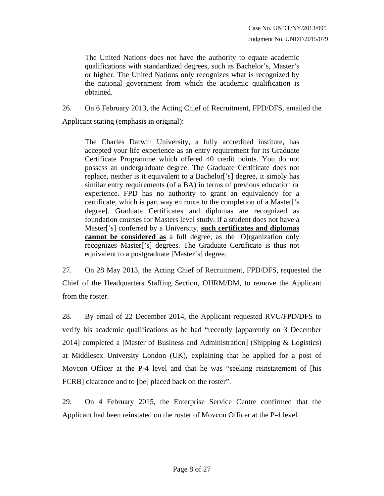The United Nations does not have the authority to equate academic qualifications with standardized degrees, such as Bachelor's, Master's or higher. The United Nations only recognizes what is recognized by the national government from which the academic qualification is obtained.

26. On 6 February 2013, the Acting Chief of Recruitment, FPD/DFS, emailed the Applicant stating (emphasis in original):

The Charles Darwin University, a fully accredited institute, has accepted your life experience as an entry requirement for its Graduate Certificate Programme which offered 40 credit points. You do not possess an undergraduate degree. The Graduate Certificate does not replace, neither is it equivalent to a Bachelor['s] degree, it simply has similar entry requirements (of a BA) in terms of previous education or experience. FPD has no authority to grant an equivalency for a certificate, which is part way en route to the completion of a Master['s degree]. Graduate Certificates and diplomas are recognized as foundation courses for Masters level study. If a student does not have a Master['s] conferred by a University, **such certificates and diplomas cannot be considered as** a full degree, as the [O]rganization only recognizes Master['s] degrees. The Graduate Certificate is thus not equivalent to a postgraduate [Master's] degree.

27. On 28 May 2013, the Acting Chief of Recruitment, FPD/DFS, requested the Chief of the Headquarters Staffing Section, OHRM/DM, to remove the Applicant from the roster.

28. By email of 22 December 2014, the Applicant requested RVU/FPD/DFS to verify his academic qualifications as he had "recently [apparently on 3 December 2014] completed a [Master of Business and Administration] (Shipping & Logistics) at Middlesex University London (UK), explaining that he applied for a post of Movcon Officer at the P-4 level and that he was "seeking reinstatement of [his FCRB] clearance and to [be] placed back on the roster".

29. On 4 February 2015, the Enterprise Service Centre confirmed that the Applicant had been reinstated on the roster of Movcon Officer at the P-4 level.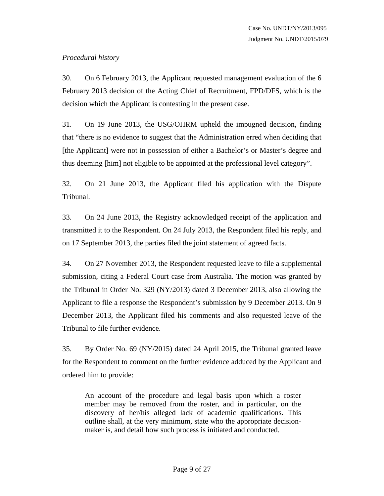## *Procedural history*

30. On 6 February 2013, the Applicant requested management evaluation of the 6 February 2013 decision of the Acting Chief of Recruitment, FPD/DFS, which is the decision which the Applicant is contesting in the present case.

31. On 19 June 2013, the USG/OHRM upheld the impugned decision, finding that "there is no evidence to suggest that the Administration erred when deciding that [the Applicant] were not in possession of either a Bachelor's or Master's degree and thus deeming [him] not eligible to be appointed at the professional level category".

32. On 21 June 2013, the Applicant filed his application with the Dispute Tribunal.

33. On 24 June 2013, the Registry acknowledged receipt of the application and transmitted it to the Respondent. On 24 July 2013, the Respondent filed his reply, and on 17 September 2013, the parties filed the joint statement of agreed facts.

34. On 27 November 2013, the Respondent requested leave to file a supplemental submission, citing a Federal Court case from Australia. The motion was granted by the Tribunal in Order No. 329 (NY/2013) dated 3 December 2013, also allowing the Applicant to file a response the Respondent's submission by 9 December 2013. On 9 December 2013, the Applicant filed his comments and also requested leave of the Tribunal to file further evidence.

35. By Order No. 69 (NY/2015) dated 24 April 2015, the Tribunal granted leave for the Respondent to comment on the further evidence adduced by the Applicant and ordered him to provide:

An account of the procedure and legal basis upon which a roster member may be removed from the roster, and in particular, on the discovery of her/his alleged lack of academic qualifications. This outline shall, at the very minimum, state who the appropriate decisionmaker is, and detail how such process is initiated and conducted.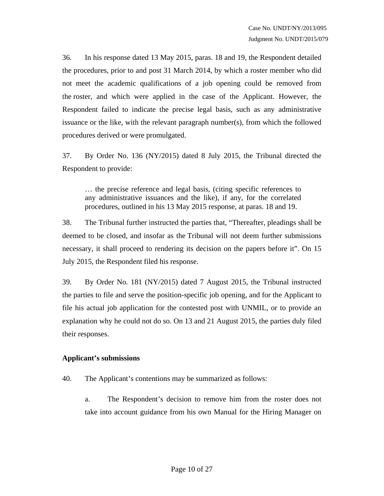36. In his response dated 13 May 2015, paras. 18 and 19, the Respondent detailed the procedures, prior to and post 31 March 2014, by which a roster member who did not meet the academic qualifications of a job opening could be removed from the roster, and which were applied in the case of the Applicant. However, the Respondent failed to indicate the precise legal basis, such as any administrative issuance or the like, with the relevant paragraph number(s), from which the followed procedures derived or were promulgated.

37. By Order No. 136 (NY/2015) dated 8 July 2015, the Tribunal directed the Respondent to provide:

… the precise reference and legal basis, (citing specific references to any administrative issuances and the like), if any, for the correlated procedures, outlined in his 13 May 2015 response, at paras. 18 and 19.

38. The Tribunal further instructed the parties that, "Thereafter, pleadings shall be deemed to be closed, and insofar as the Tribunal will not deem further submissions necessary, it shall proceed to rendering its decision on the papers before it". On 15 July 2015, the Respondent filed his response.

39. By Order No. 181 (NY/2015) dated 7 August 2015, the Tribunal instructed the parties to file and serve the position-specific job opening, and for the Applicant to file his actual job application for the contested post with UNMIL, or to provide an explanation why he could not do so. On 13 and 21 August 2015, the parties duly filed their responses.

#### **Applicant's submissions**

- 40. The Applicant's contentions may be summarized as follows:
	- a. The Respondent's decision to remove him from the roster does not take into account guidance from his own Manual for the Hiring Manager on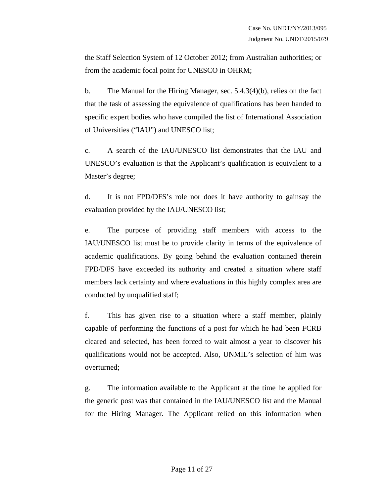the Staff Selection System of 12 October 2012; from Australian authorities; or from the academic focal point for UNESCO in OHRM;

b. The Manual for the Hiring Manager, sec. 5.4.3(4)(b), relies on the fact that the task of assessing the equivalence of qualifications has been handed to specific expert bodies who have compiled the list of International Association of Universities ("IAU") and UNESCO list;

c. A search of the IAU/UNESCO list demonstrates that the IAU and UNESCO's evaluation is that the Applicant's qualification is equivalent to a Master's degree;

d. It is not FPD/DFS's role nor does it have authority to gainsay the evaluation provided by the IAU/UNESCO list;

e. The purpose of providing staff members with access to the IAU/UNESCO list must be to provide clarity in terms of the equivalence of academic qualifications. By going behind the evaluation contained therein FPD/DFS have exceeded its authority and created a situation where staff members lack certainty and where evaluations in this highly complex area are conducted by unqualified staff;

f. This has given rise to a situation where a staff member, plainly capable of performing the functions of a post for which he had been FCRB cleared and selected, has been forced to wait almost a year to discover his qualifications would not be accepted. Also, UNMIL's selection of him was overturned;

g. The information available to the Applicant at the time he applied for the generic post was that contained in the IAU/UNESCO list and the Manual for the Hiring Manager. The Applicant relied on this information when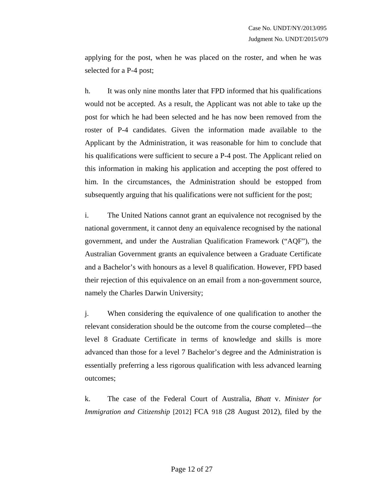applying for the post, when he was placed on the roster, and when he was selected for a P-4 post;

h. It was only nine months later that FPD informed that his qualifications would not be accepted. As a result, the Applicant was not able to take up the post for which he had been selected and he has now been removed from the roster of P-4 candidates. Given the information made available to the Applicant by the Administration, it was reasonable for him to conclude that his qualifications were sufficient to secure a P-4 post. The Applicant relied on this information in making his application and accepting the post offered to him. In the circumstances, the Administration should be estopped from subsequently arguing that his qualifications were not sufficient for the post;

i. The United Nations cannot grant an equivalence not recognised by the national government, it cannot deny an equivalence recognised by the national government, and under the Australian Qualification Framework ("AQF"), the Australian Government grants an equivalence between a Graduate Certificate and a Bachelor's with honours as a level 8 qualification. However, FPD based their rejection of this equivalence on an email from a non-government source, namely the Charles Darwin University;

j. When considering the equivalence of one qualification to another the relevant consideration should be the outcome from the course completed—the level 8 Graduate Certificate in terms of knowledge and skills is more advanced than those for a level 7 Bachelor's degree and the Administration is essentially preferring a less rigorous qualification with less advanced learning outcomes;

k. The case of the Federal Court of Australia, *Bhatt* v. *Minister for Immigration and Citizenship* [2012] FCA 918 (28 August 2012), filed by the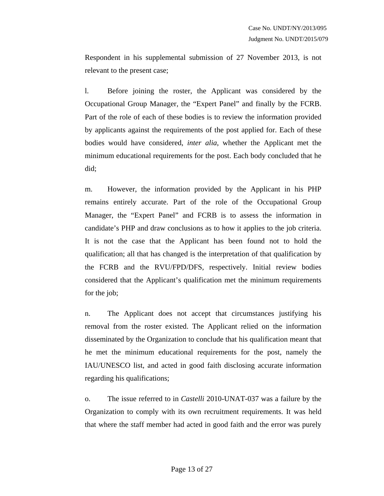Respondent in his supplemental submission of 27 November 2013, is not relevant to the present case;

l. Before joining the roster, the Applicant was considered by the Occupational Group Manager, the "Expert Panel" and finally by the FCRB. Part of the role of each of these bodies is to review the information provided by applicants against the requirements of the post applied for. Each of these bodies would have considered, *inter alia*, whether the Applicant met the minimum educational requirements for the post. Each body concluded that he did;

m. However, the information provided by the Applicant in his PHP remains entirely accurate. Part of the role of the Occupational Group Manager, the "Expert Panel" and FCRB is to assess the information in candidate's PHP and draw conclusions as to how it applies to the job criteria. It is not the case that the Applicant has been found not to hold the qualification; all that has changed is the interpretation of that qualification by the FCRB and the RVU/FPD/DFS, respectively. Initial review bodies considered that the Applicant's qualification met the minimum requirements for the job;

n. The Applicant does not accept that circumstances justifying his removal from the roster existed. The Applicant relied on the information disseminated by the Organization to conclude that his qualification meant that he met the minimum educational requirements for the post, namely the IAU/UNESCO list, and acted in good faith disclosing accurate information regarding his qualifications;

o. The issue referred to in *Castelli* 2010-UNAT-037 was a failure by the Organization to comply with its own recruitment requirements. It was held that where the staff member had acted in good faith and the error was purely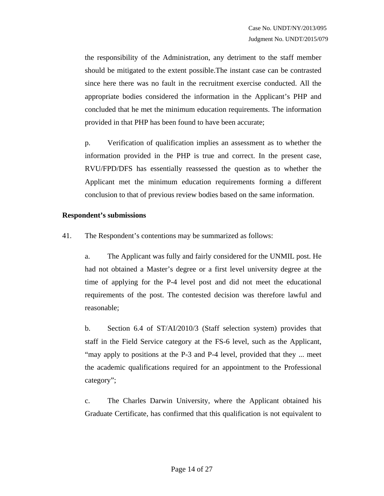the responsibility of the Administration, any detriment to the staff member should be mitigated to the extent possible.The instant case can be contrasted since here there was no fault in the recruitment exercise conducted. All the appropriate bodies considered the information in the Applicant's PHP and concluded that he met the minimum education requirements. The information provided in that PHP has been found to have been accurate;

p. Verification of qualification implies an assessment as to whether the information provided in the PHP is true and correct. In the present case, RVU/FPD/DFS has essentially reassessed the question as to whether the Applicant met the minimum education requirements forming a different conclusion to that of previous review bodies based on the same information.

#### **Respondent's submissions**

41. The Respondent's contentions may be summarized as follows:

a. The Applicant was fully and fairly considered for the UNMIL post. He had not obtained a Master's degree or a first level university degree at the time of applying for the P-4 level post and did not meet the educational requirements of the post. The contested decision was therefore lawful and reasonable;

b. Section 6.4 of ST/AI/2010/3 (Staff selection system) provides that staff in the Field Service category at the FS-6 level, such as the Applicant, "may apply to positions at the P-3 and P-4 level, provided that they ... meet the academic qualifications required for an appointment to the Professional category";

c. The Charles Darwin University, where the Applicant obtained his Graduate Certificate, has confirmed that this qualification is not equivalent to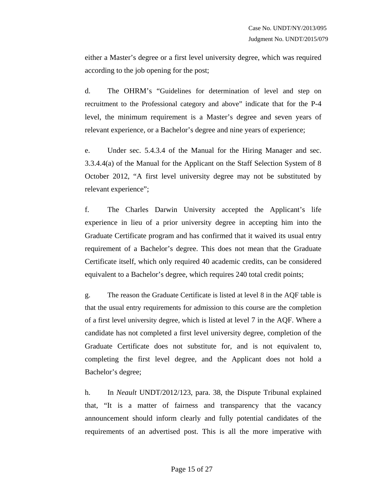either a Master's degree or a first level university degree, which was required according to the job opening for the post;

d. The OHRM's "Guidelines for determination of level and step on recruitment to the Professional category and above" indicate that for the P-4 level, the minimum requirement is a Master's degree and seven years of relevant experience, or a Bachelor's degree and nine years of experience;

e. Under sec. 5.4.3.4 of the Manual for the Hiring Manager and sec. 3.3.4.4(a) of the Manual for the Applicant on the Staff Selection System of 8 October 2012, "A first level university degree may not be substituted by relevant experience";

f. The Charles Darwin University accepted the Applicant's life experience in lieu of a prior university degree in accepting him into the Graduate Certificate program and has confirmed that it waived its usual entry requirement of a Bachelor's degree. This does not mean that the Graduate Certificate itself, which only required 40 academic credits, can be considered equivalent to a Bachelor's degree, which requires 240 total credit points;

g. The reason the Graduate Certificate is listed at level 8 in the AQF table is that the usual entry requirements for admission to this course are the completion of a first level university degree, which is listed at level 7 in the AQF. Where a candidate has not completed a first level university degree, completion of the Graduate Certificate does not substitute for, and is not equivalent to, completing the first level degree, and the Applicant does not hold a Bachelor's degree;

h. In *Neault* UNDT/2012/123, para. 38, the Dispute Tribunal explained that, "It is a matter of fairness and transparency that the vacancy announcement should inform clearly and fully potential candidates of the requirements of an advertised post. This is all the more imperative with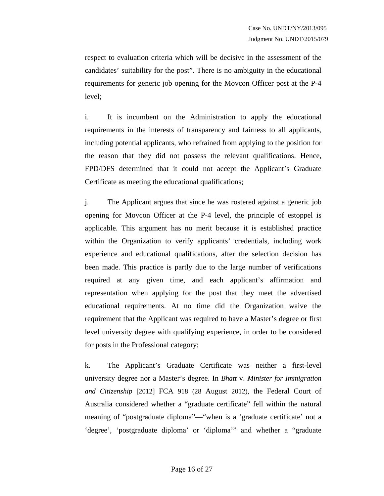respect to evaluation criteria which will be decisive in the assessment of the candidates' suitability for the post". There is no ambiguity in the educational requirements for generic job opening for the Movcon Officer post at the P-4 level;

i. It is incumbent on the Administration to apply the educational requirements in the interests of transparency and fairness to all applicants, including potential applicants, who refrained from applying to the position for the reason that they did not possess the relevant qualifications. Hence, FPD/DFS determined that it could not accept the Applicant's Graduate Certificate as meeting the educational qualifications;

j. The Applicant argues that since he was rostered against a generic job opening for Movcon Officer at the P-4 level, the principle of estoppel is applicable. This argument has no merit because it is established practice within the Organization to verify applicants' credentials, including work experience and educational qualifications, after the selection decision has been made. This practice is partly due to the large number of verifications required at any given time, and each applicant's affirmation and representation when applying for the post that they meet the advertised educational requirements. At no time did the Organization waive the requirement that the Applicant was required to have a Master's degree or first level university degree with qualifying experience, in order to be considered for posts in the Professional category;

k. The Applicant's Graduate Certificate was neither a first-level university degree nor a Master's degree. In *Bhatt* v. *Minister for Immigration and Citizenship* [2012] FCA 918 (28 August 2012), the Federal Court of Australia considered whether a "graduate certificate" fell within the natural meaning of "postgraduate diploma"—"when is a 'graduate certificate' not a 'degree', 'postgraduate diploma' or 'diploma'" and whether a "graduate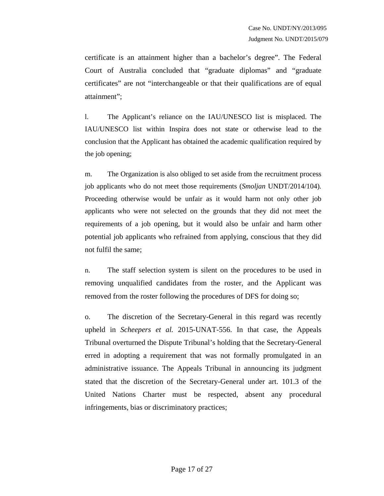certificate is an attainment higher than a bachelor's degree". The Federal Court of Australia concluded that "graduate diplomas" and "graduate certificates" are not "interchangeable or that their qualifications are of equal attainment";

l. The Applicant's reliance on the IAU/UNESCO list is misplaced. The IAU/UNESCO list within Inspira does not state or otherwise lead to the conclusion that the Applicant has obtained the academic qualification required by the job opening;

m. The Organization is also obliged to set aside from the recruitment process job applicants who do not meet those requirements (*Smoljan* UNDT/2014/104)*.*  Proceeding otherwise would be unfair as it would harm not only other job applicants who were not selected on the grounds that they did not meet the requirements of a job opening, but it would also be unfair and harm other potential job applicants who refrained from applying, conscious that they did not fulfil the same;

n. The staff selection system is silent on the procedures to be used in removing unqualified candidates from the roster, and the Applicant was removed from the roster following the procedures of DFS for doing so;

o. The discretion of the Secretary-General in this regard was recently upheld in *Scheepers et al.* 2015-UNAT-556. In that case, the Appeals Tribunal overturned the Dispute Tribunal's holding that the Secretary-General erred in adopting a requirement that was not formally promulgated in an administrative issuance. The Appeals Tribunal in announcing its judgment stated that the discretion of the Secretary-General under art. 101.3 of the United Nations Charter must be respected, absent any procedural infringements, bias or discriminatory practices;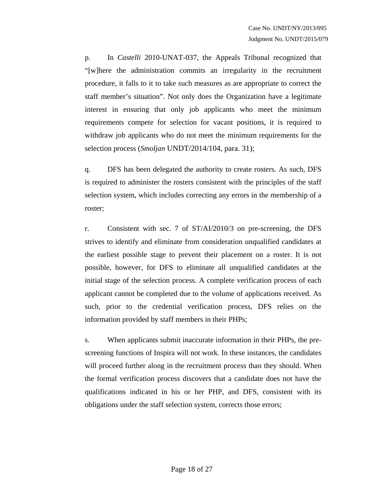p. In *Castelli* 2010-UNAT-037, the Appeals Tribunal recognized that "[w]here the administration commits an irregularity in the recruitment procedure, it falls to it to take such measures as are appropriate to correct the staff member's situation". Not only does the Organization have a legitimate interest in ensuring that only job applicants who meet the minimum requirements compete for selection for vacant positions, it is required to withdraw job applicants who do not meet the minimum requirements for the selection process (*Smoljan* UNDT/2014/104, para. 31);

q. DFS has been delegated the authority to create rosters. As such, DFS is required to administer the rosters consistent with the principles of the staff selection system, which includes correcting any errors in the membership of a roster;

r. Consistent with sec. 7 of ST/AI/2010/3 on pre-screening, the DFS strives to identify and eliminate from consideration unqualified candidates at the earliest possible stage to prevent their placement on a roster. It is not possible, however, for DFS to eliminate all unqualified candidates at the initial stage of the selection process. A complete verification process of each applicant cannot be completed due to the volume of applications received. As such, prior to the credential verification process, DFS relies on the information provided by staff members in their PHPs;

s. When applicants submit inaccurate information in their PHPs, the prescreening functions of Inspira will not work. In these instances, the candidates will proceed further along in the recruitment process than they should. When the formal verification process discovers that a candidate does not have the qualifications indicated in his or her PHP, and DFS, consistent with its obligations under the staff selection system, corrects those errors;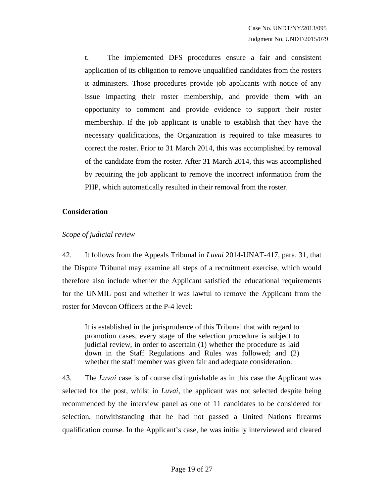t. The implemented DFS procedures ensure a fair and consistent application of its obligation to remove unqualified candidates from the rosters it administers. Those procedures provide job applicants with notice of any issue impacting their roster membership, and provide them with an opportunity to comment and provide evidence to support their roster membership. If the job applicant is unable to establish that they have the necessary qualifications, the Organization is required to take measures to correct the roster. Prior to 31 March 2014, this was accomplished by removal of the candidate from the roster. After 31 March 2014, this was accomplished by requiring the job applicant to remove the incorrect information from the PHP, which automatically resulted in their removal from the roster.

#### **Consideration**

### *Scope of judicial review*

42. It follows from the Appeals Tribunal in *Luvai* 2014-UNAT-417, para. 31, that the Dispute Tribunal may examine all steps of a recruitment exercise, which would therefore also include whether the Applicant satisfied the educational requirements for the UNMIL post and whether it was lawful to remove the Applicant from the roster for Movcon Officers at the P-4 level:

It is established in the jurisprudence of this Tribunal that with regard to promotion cases, every stage of the selection procedure is subject to judicial review, in order to ascertain (1) whether the procedure as laid down in the Staff Regulations and Rules was followed; and (2) whether the staff member was given fair and adequate consideration.

43. The *Luvai* case is of course distinguishable as in this case the Applicant was selected for the post, whilst in *Luvai*, the applicant was not selected despite being recommended by the interview panel as one of 11 candidates to be considered for selection, notwithstanding that he had not passed a United Nations firearms qualification course. In the Applicant's case, he was initially interviewed and cleared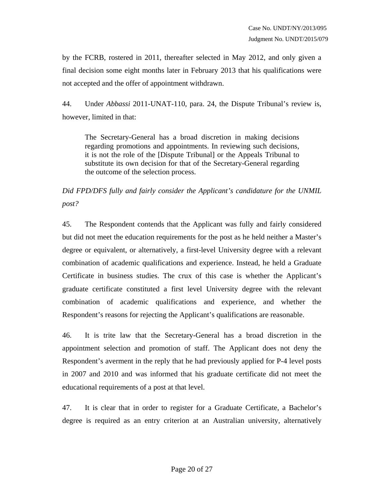by the FCRB, rostered in 2011, thereafter selected in May 2012, and only given a final decision some eight months later in February 2013 that his qualifications were not accepted and the offer of appointment withdrawn.

44. Under *Abbassi* 2011-UNAT-110, para. 24, the Dispute Tribunal's review is, however, limited in that:

The Secretary-General has a broad discretion in making decisions regarding promotions and appointments. In reviewing such decisions, it is not the role of the [Dispute Tribunal] or the Appeals Tribunal to substitute its own decision for that of the Secretary-General regarding the outcome of the selection process.

*Did FPD/DFS fully and fairly consider the Applicant's candidature for the UNMIL post?* 

45. The Respondent contends that the Applicant was fully and fairly considered but did not meet the education requirements for the post as he held neither a Master's degree or equivalent, or alternatively, a first-level University degree with a relevant combination of academic qualifications and experience. Instead, he held a Graduate Certificate in business studies. The crux of this case is whether the Applicant's graduate certificate constituted a first level University degree with the relevant combination of academic qualifications and experience, and whether the Respondent's reasons for rejecting the Applicant's qualifications are reasonable.

46. It is trite law that the Secretary-General has a broad discretion in the appointment selection and promotion of staff. The Applicant does not deny the Respondent's averment in the reply that he had previously applied for P-4 level posts in 2007 and 2010 and was informed that his graduate certificate did not meet the educational requirements of a post at that level.

47. It is clear that in order to register for a Graduate Certificate, a Bachelor's degree is required as an entry criterion at an Australian university, alternatively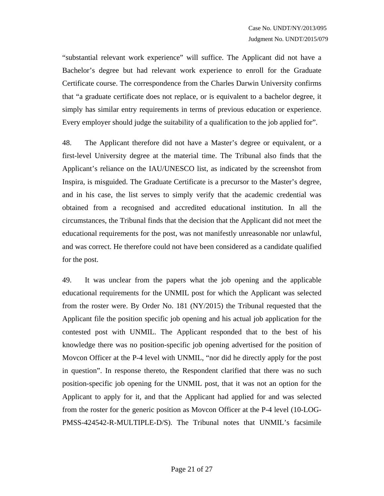"substantial relevant work experience" will suffice. The Applicant did not have a Bachelor's degree but had relevant work experience to enroll for the Graduate Certificate course. The correspondence from the Charles Darwin University confirms that "a graduate certificate does not replace, or is equivalent to a bachelor degree, it simply has similar entry requirements in terms of previous education or experience. Every employer should judge the suitability of a qualification to the job applied for".

48. The Applicant therefore did not have a Master's degree or equivalent, or a first-level University degree at the material time. The Tribunal also finds that the Applicant's reliance on the IAU/UNESCO list, as indicated by the screenshot from Inspira, is misguided. The Graduate Certificate is a precursor to the Master's degree, and in his case, the list serves to simply verify that the academic credential was obtained from a recognised and accredited educational institution. In all the circumstances, the Tribunal finds that the decision that the Applicant did not meet the educational requirements for the post, was not manifestly unreasonable nor unlawful, and was correct. He therefore could not have been considered as a candidate qualified for the post.

49. It was unclear from the papers what the job opening and the applicable educational requirements for the UNMIL post for which the Applicant was selected from the roster were. By Order No. 181 (NY/2015) the Tribunal requested that the Applicant file the position specific job opening and his actual job application for the contested post with UNMIL. The Applicant responded that to the best of his knowledge there was no position-specific job opening advertised for the position of Movcon Officer at the P-4 level with UNMIL, "nor did he directly apply for the post in question". In response thereto, the Respondent clarified that there was no such position-specific job opening for the UNMIL post, that it was not an option for the Applicant to apply for it, and that the Applicant had applied for and was selected from the roster for the generic position as Movcon Officer at the P-4 level (10-LOG-PMSS-424542-R-MULTIPLE-D/S). The Tribunal notes that UNMIL's facsimile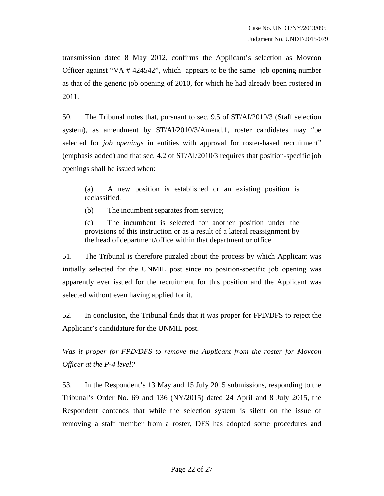transmission dated 8 May 2012, confirms the Applicant's selection as Movcon Officer against "VA # 424542", which appears to be the same job opening number as that of the generic job opening of 2010, for which he had already been rostered in 2011.

50. The Tribunal notes that, pursuant to sec. 9.5 of ST/AI/2010/3 (Staff selection system), as amendment by ST/AI/2010/3/Amend.1, roster candidates may "be selected for *job openings* in entities with approval for roster-based recruitment" (emphasis added) and that sec. 4.2 of ST/AI/2010/3 requires that position-specific job openings shall be issued when:

(a) A new position is established or an existing position is reclassified;

(b) The incumbent separates from service;

(c) The incumbent is selected for another position under the provisions of this instruction or as a result of a lateral reassignment by the head of department/office within that department or office.

51. The Tribunal is therefore puzzled about the process by which Applicant was initially selected for the UNMIL post since no position-specific job opening was apparently ever issued for the recruitment for this position and the Applicant was selected without even having applied for it.

52. In conclusion, the Tribunal finds that it was proper for FPD/DFS to reject the Applicant's candidature for the UNMIL post.

*Was it proper for FPD/DFS to remove the Applicant from the roster for Movcon Officer at the P-4 level?* 

53. In the Respondent's 13 May and 15 July 2015 submissions, responding to the Tribunal's Order No. 69 and 136 (NY/2015) dated 24 April and 8 July 2015, the Respondent contends that while the selection system is silent on the issue of removing a staff member from a roster, DFS has adopted some procedures and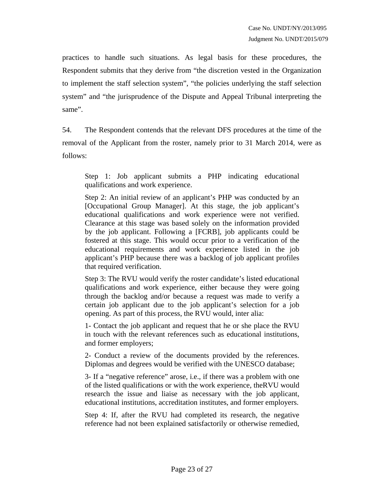practices to handle such situations. As legal basis for these procedures, the Respondent submits that they derive from "the discretion vested in the Organization to implement the staff selection system", "the policies underlying the staff selection system" and "the jurisprudence of the Dispute and Appeal Tribunal interpreting the same".

54. The Respondent contends that the relevant DFS procedures at the time of the removal of the Applicant from the roster, namely prior to 31 March 2014, were as follows:

Step 1: Job applicant submits a PHP indicating educational qualifications and work experience.

Step 2: An initial review of an applicant's PHP was conducted by an [Occupational Group Manager]. At this stage, the job applicant's educational qualifications and work experience were not verified. Clearance at this stage was based solely on the information provided by the job applicant. Following a [FCRB], job applicants could be fostered at this stage. This would occur prior to a verification of the educational requirements and work experience listed in the job applicant's PHP because there was a backlog of job applicant profiles that required verification.

Step 3: The RVU would verify the roster candidate's listed educational qualifications and work experience, either because they were going through the backlog and/or because a request was made to verify a certain job applicant due to the job applicant's selection for a job opening. As part of this process, the RVU would, inter alia:

1- Contact the job applicant and request that he or she place the RVU in touch with the relevant references such as educational institutions, and former employers;

2- Conduct a review of the documents provided by the references. Diplomas and degrees would be verified with the UNESCO database;

3- If a "negative reference" arose, i.e., if there was a problem with one of the listed qualifications or with the work experience, theRVU would research the issue and liaise as necessary with the job applicant, educational institutions, accreditation institutes, and former employers.

Step 4: If, after the RVU had completed its research, the negative reference had not been explained satisfactorily or otherwise remedied,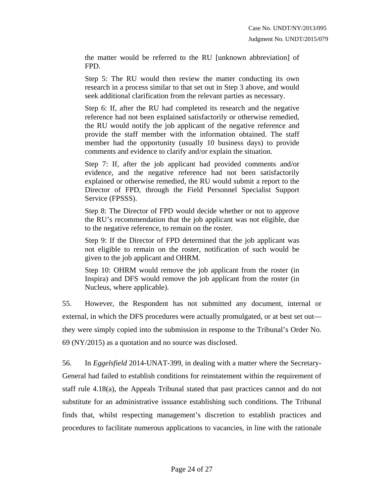the matter would be referred to the RU [unknown abbreviation] of FPD.

Step 5: The RU would then review the matter conducting its own research in a process similar to that set out in Step 3 above, and would seek additional clarification from the relevant parties as necessary.

Step 6: If, after the RU had completed its research and the negative reference had not been explained satisfactorily or otherwise remedied, the RU would notify the job applicant of the negative reference and provide the staff member with the information obtained. The staff member had the opportunity (usually 10 business days) to provide comments and evidence to clarify and/or explain the situation.

Step 7: If, after the job applicant had provided comments and/or evidence, and the negative reference had not been satisfactorily explained or otherwise remedied, the RU would submit a report to the Director of FPD, through the Field Personnel Specialist Support Service (FPSSS).

Step 8: The Director of FPD would decide whether or not to approve the RU's recommendation that the job applicant was not eligible, due to the negative reference, to remain on the roster.

Step 9: If the Director of FPD determined that the job applicant was not eligible to remain on the roster, notification of such would be given to the job applicant and OHRM.

Step 10: OHRM would remove the job applicant from the roster (in Inspira) and DFS would remove the job applicant from the roster (in Nucleus, where applicable).

55. However, the Respondent has not submitted any document, internal or external, in which the DFS procedures were actually promulgated, or at best set out they were simply copied into the submission in response to the Tribunal's Order No. 69 (NY/2015) as a quotation and no source was disclosed.

56. In *Eggelsfield* 2014-UNAT-399, in dealing with a matter where the Secretary-General had failed to establish conditions for reinstatement within the requirement of staff rule 4.18(a), the Appeals Tribunal stated that past practices cannot and do not substitute for an administrative issuance establishing such conditions. The Tribunal finds that, whilst respecting management's discretion to establish practices and procedures to facilitate numerous applications to vacancies, in line with the rationale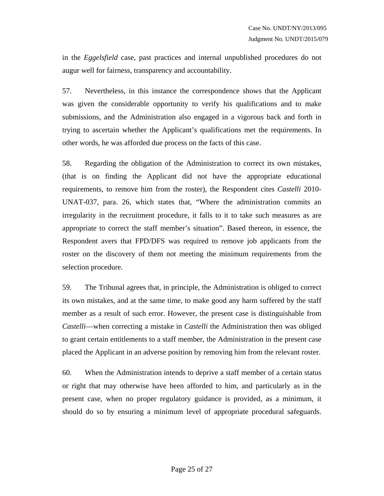in the *Eggelsfield* case, past practices and internal unpublished procedures do not augur well for fairness, transparency and accountability.

57. Nevertheless, in this instance the correspondence shows that the Applicant was given the considerable opportunity to verify his qualifications and to make submissions, and the Administration also engaged in a vigorous back and forth in trying to ascertain whether the Applicant's qualifications met the requirements. In other words, he was afforded due process on the facts of this case.

58. Regarding the obligation of the Administration to correct its own mistakes, (that is on finding the Applicant did not have the appropriate educational requirements, to remove him from the roster), the Respondent cites *Castelli* 2010- UNAT-037, para. 26, which states that, "Where the administration commits an irregularity in the recruitment procedure, it falls to it to take such measures as are appropriate to correct the staff member's situation". Based thereon, in essence, the Respondent avers that FPD/DFS was required to remove job applicants from the roster on the discovery of them not meeting the minimum requirements from the selection procedure.

59. The Tribunal agrees that, in principle, the Administration is obliged to correct its own mistakes, and at the same time, to make good any harm suffered by the staff member as a result of such error. However, the present case is distinguishable from *Castelli*—when correcting a mistake in *Castelli* the Administration then was obliged to grant certain entitlements to a staff member, the Administration in the present case placed the Applicant in an adverse position by removing him from the relevant roster.

60. When the Administration intends to deprive a staff member of a certain status or right that may otherwise have been afforded to him, and particularly as in the present case, when no proper regulatory guidance is provided, as a minimum, it should do so by ensuring a minimum level of appropriate procedural safeguards.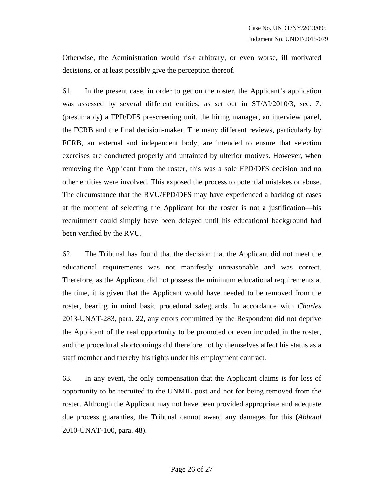Otherwise, the Administration would risk arbitrary, or even worse, ill motivated decisions, or at least possibly give the perception thereof.

61. In the present case, in order to get on the roster, the Applicant's application was assessed by several different entities, as set out in  $ST/AI/2010/3$ , sec. 7: (presumably) a FPD/DFS prescreening unit, the hiring manager, an interview panel, the FCRB and the final decision-maker. The many different reviews, particularly by FCRB, an external and independent body, are intended to ensure that selection exercises are conducted properly and untainted by ulterior motives. However, when removing the Applicant from the roster, this was a sole FPD/DFS decision and no other entities were involved. This exposed the process to potential mistakes or abuse. The circumstance that the RVU/FPD/DFS may have experienced a backlog of cases at the moment of selecting the Applicant for the roster is not a justification—his recruitment could simply have been delayed until his educational background had been verified by the RVU.

62. The Tribunal has found that the decision that the Applicant did not meet the educational requirements was not manifestly unreasonable and was correct. Therefore, as the Applicant did not possess the minimum educational requirements at the time, it is given that the Applicant would have needed to be removed from the roster, bearing in mind basic procedural safeguards. In accordance with *Charles* 2013-UNAT-283, para. 22, any errors committed by the Respondent did not deprive the Applicant of the real opportunity to be promoted or even included in the roster, and the procedural shortcomings did therefore not by themselves affect his status as a staff member and thereby his rights under his employment contract.

63. In any event, the only compensation that the Applicant claims is for loss of opportunity to be recruited to the UNMIL post and not for being removed from the roster. Although the Applicant may not have been provided appropriate and adequate due process guaranties, the Tribunal cannot award any damages for this (*Abboud* 2010-UNAT-100, para. 48).